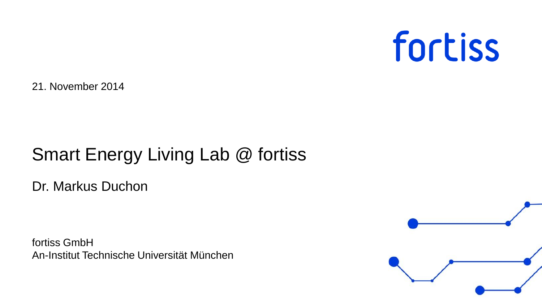

21. November 2014

## Smart Energy Living Lab @ fortiss

Dr. Markus Duchon

fortiss GmbH An-Institut Technische Universität München

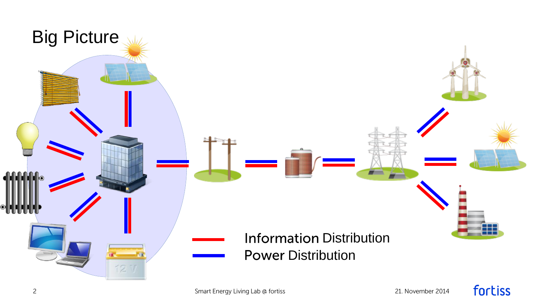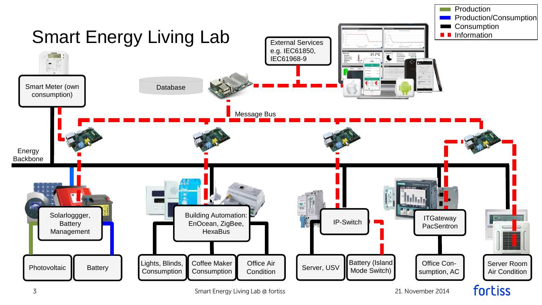

Smart Energy Living Lab @ fortiss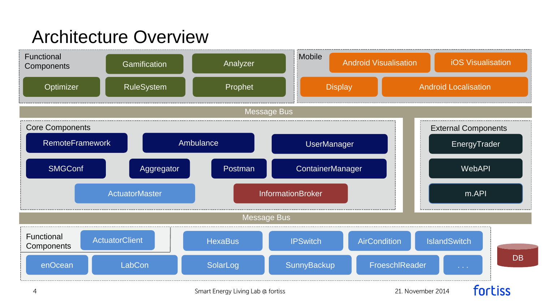## Architecture Overview

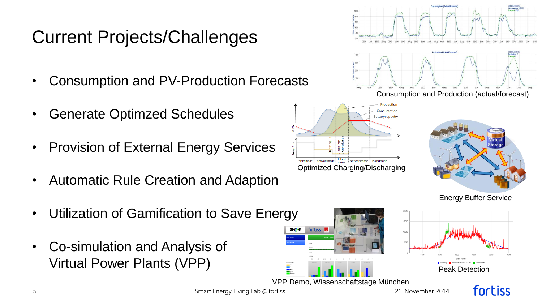## Current Projects/Challenges

- Consumption and PV-Production Forecasts
- Generate Optimzed Schedules
- Provision of External Energy Services
- Automatic Rule Creation and Adaption
- Utilization of Gamification to Save Energy
- Co-simulation and Analysis of Virtual Power Plants (VPP)





VPP Demo, Wissenschaftstage München

fortiss

E

Smart Energy Living Lab @ fortiss